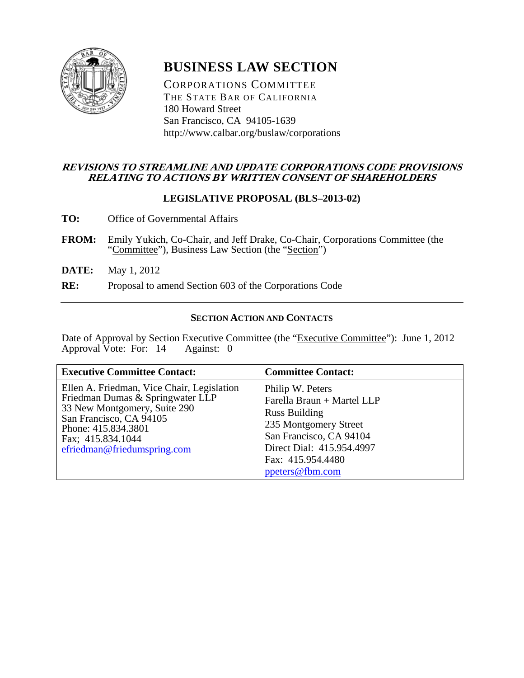

# **BUSINESS LAW SECTION**

CORPORATIONS COMMITTEE THE STATE BAR OF CALIFORNIA 180 Howard Street San Francisco, CA 94105-1639 http://www.calbar.org/buslaw/corporations

# **REVISIONS TO STREAMLINE AND UPDATE CORPORATIONS CODE PROVISIONS RELATING TO ACTIONS BY WRITTEN CONSENT OF SHAREHOLDERS**

# **LEGISLATIVE PROPOSAL (BLS–2013-02)**

- **TO:** Office of Governmental Affairs
- FROM: Emily Yukich, Co-Chair, and Jeff Drake, Co-Chair, Corporations Committee (the "Committee"), Business Law Section (the "Section")
- **DATE:** May 1, 2012
- **RE:** Proposal to amend Section 603 of the Corporations Code

# **SECTION ACTION AND CONTACTS**

Date of Approval by Section Executive Committee (the "Executive Committee"): June 1, 2012<br>Approval Vote: For: 14 Against: 0 Approval Vote: For:  $14$ 

| <b>Executive Committee Contact:</b>                                                                                                                                                                                  | <b>Committee Contact:</b>                                                                                                                                                                       |
|----------------------------------------------------------------------------------------------------------------------------------------------------------------------------------------------------------------------|-------------------------------------------------------------------------------------------------------------------------------------------------------------------------------------------------|
| Ellen A. Friedman, Vice Chair, Legislation<br>Friedman Dumas & Springwater LLP<br>33 New Montgomery, Suite 290<br>San Francisco, CA 94105<br>Phone: 415.834.3801<br>Fax; 415.834.1044<br>efriedman@friedumspring.com | Philip W. Peters<br>Farella Braun + Martel LLP<br><b>Russ Building</b><br>235 Montgomery Street<br>San Francisco, CA 94104<br>Direct Dial: 415.954.4997<br>Fax: 415.954.4480<br>ppeters@fbm.com |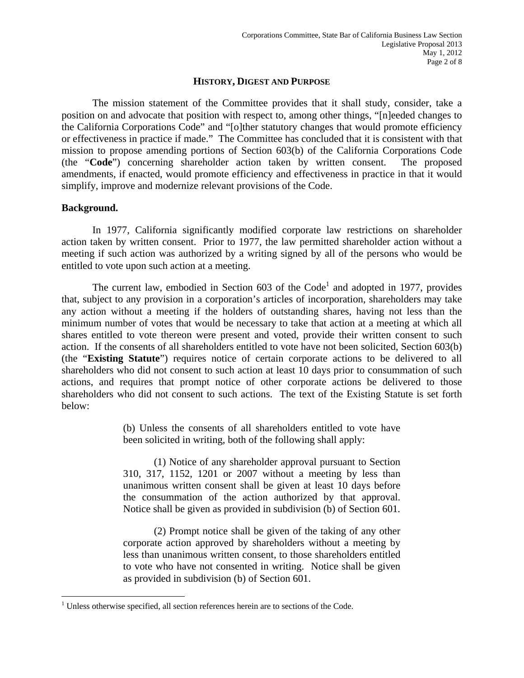#### **HISTORY, DIGEST AND PURPOSE**

The mission statement of the Committee provides that it shall study, consider, take a position on and advocate that position with respect to, among other things, "[n]eeded changes to the California Corporations Code" and "[o]ther statutory changes that would promote efficiency or effectiveness in practice if made." The Committee has concluded that it is consistent with that mission to propose amending portions of Section 603(b) of the California Corporations Code (the "**Code**") concerning shareholder action taken by written consent. The proposed amendments, if enacted, would promote efficiency and effectiveness in practice in that it would simplify, improve and modernize relevant provisions of the Code.

## **Background.**

 $\overline{a}$ 

In 1977, California significantly modified corporate law restrictions on shareholder action taken by written consent. Prior to 1977, the law permitted shareholder action without a meeting if such action was authorized by a writing signed by all of the persons who would be entitled to vote upon such action at a meeting.

The current law, embodied in Section  $603$  of the Code<sup>1</sup> and adopted in 1977, provides that, subject to any provision in a corporation's articles of incorporation, shareholders may take any action without a meeting if the holders of outstanding shares, having not less than the minimum number of votes that would be necessary to take that action at a meeting at which all shares entitled to vote thereon were present and voted, provide their written consent to such action. If the consents of all shareholders entitled to vote have not been solicited, Section 603(b) (the "**Existing Statute**") requires notice of certain corporate actions to be delivered to all shareholders who did not consent to such action at least 10 days prior to consummation of such actions, and requires that prompt notice of other corporate actions be delivered to those shareholders who did not consent to such actions. The text of the Existing Statute is set forth below:

> (b) Unless the consents of all shareholders entitled to vote have been solicited in writing, both of the following shall apply:

> (1) Notice of any shareholder approval pursuant to Section 310, 317, 1152, 1201 or 2007 without a meeting by less than unanimous written consent shall be given at least 10 days before the consummation of the action authorized by that approval. Notice shall be given as provided in subdivision (b) of Section 601.

> (2) Prompt notice shall be given of the taking of any other corporate action approved by shareholders without a meeting by less than unanimous written consent, to those shareholders entitled to vote who have not consented in writing. Notice shall be given as provided in subdivision (b) of Section 601.

 $<sup>1</sup>$  Unless otherwise specified, all section references herein are to sections of the Code.</sup>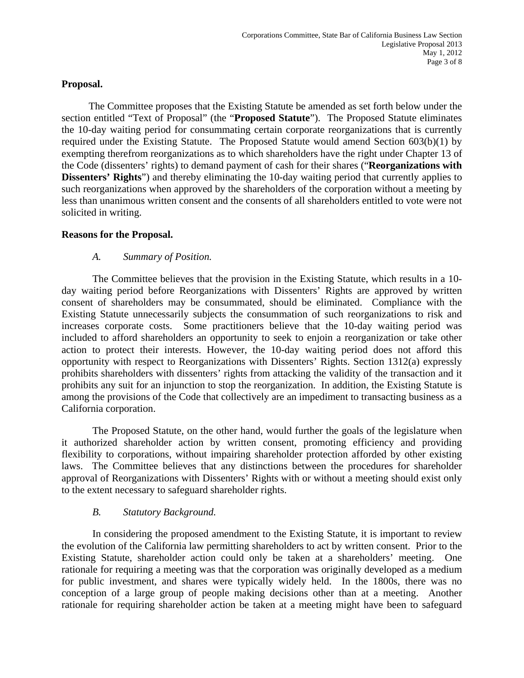# **Proposal.**

The Committee proposes that the Existing Statute be amended as set forth below under the section entitled "Text of Proposal" (the "**Proposed Statute**"). The Proposed Statute eliminates the 10-day waiting period for consummating certain corporate reorganizations that is currently required under the Existing Statute. The Proposed Statute would amend Section 603(b)(1) by exempting therefrom reorganizations as to which shareholders have the right under Chapter 13 of the Code (dissenters' rights) to demand payment of cash for their shares ("**Reorganizations with Dissenters' Rights**") and thereby eliminating the 10-day waiting period that currently applies to such reorganizations when approved by the shareholders of the corporation without a meeting by less than unanimous written consent and the consents of all shareholders entitled to vote were not solicited in writing.

# **Reasons for the Proposal.**

# *A. Summary of Position.*

The Committee believes that the provision in the Existing Statute, which results in a 10 day waiting period before Reorganizations with Dissenters' Rights are approved by written consent of shareholders may be consummated, should be eliminated. Compliance with the Existing Statute unnecessarily subjects the consummation of such reorganizations to risk and increases corporate costs. Some practitioners believe that the 10-day waiting period was included to afford shareholders an opportunity to seek to enjoin a reorganization or take other action to protect their interests. However, the 10-day waiting period does not afford this opportunity with respect to Reorganizations with Dissenters' Rights. Section 1312(a) expressly prohibits shareholders with dissenters' rights from attacking the validity of the transaction and it prohibits any suit for an injunction to stop the reorganization. In addition, the Existing Statute is among the provisions of the Code that collectively are an impediment to transacting business as a California corporation.

The Proposed Statute, on the other hand, would further the goals of the legislature when it authorized shareholder action by written consent, promoting efficiency and providing flexibility to corporations, without impairing shareholder protection afforded by other existing laws. The Committee believes that any distinctions between the procedures for shareholder approval of Reorganizations with Dissenters' Rights with or without a meeting should exist only to the extent necessary to safeguard shareholder rights.

# *B. Statutory Background.*

In considering the proposed amendment to the Existing Statute, it is important to review the evolution of the California law permitting shareholders to act by written consent. Prior to the Existing Statute, shareholder action could only be taken at a shareholders' meeting. One rationale for requiring a meeting was that the corporation was originally developed as a medium for public investment, and shares were typically widely held. In the 1800s, there was no conception of a large group of people making decisions other than at a meeting. Another rationale for requiring shareholder action be taken at a meeting might have been to safeguard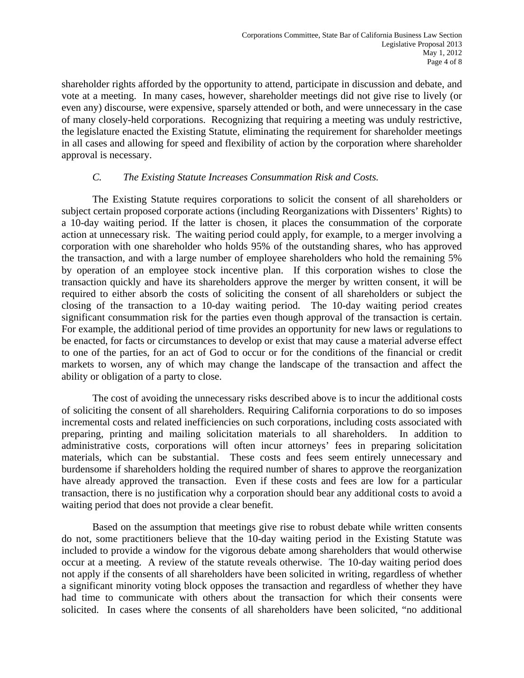shareholder rights afforded by the opportunity to attend, participate in discussion and debate, and vote at a meeting. In many cases, however, shareholder meetings did not give rise to lively (or even any) discourse, were expensive, sparsely attended or both, and were unnecessary in the case of many closely-held corporations. Recognizing that requiring a meeting was unduly restrictive, the legislature enacted the Existing Statute, eliminating the requirement for shareholder meetings in all cases and allowing for speed and flexibility of action by the corporation where shareholder approval is necessary.

# *C. The Existing Statute Increases Consummation Risk and Costs.*

The Existing Statute requires corporations to solicit the consent of all shareholders or subject certain proposed corporate actions (including Reorganizations with Dissenters' Rights) to a 10-day waiting period. If the latter is chosen, it places the consummation of the corporate action at unnecessary risk. The waiting period could apply, for example, to a merger involving a corporation with one shareholder who holds 95% of the outstanding shares, who has approved the transaction, and with a large number of employee shareholders who hold the remaining 5% by operation of an employee stock incentive plan. If this corporation wishes to close the transaction quickly and have its shareholders approve the merger by written consent, it will be required to either absorb the costs of soliciting the consent of all shareholders or subject the closing of the transaction to a 10-day waiting period. The 10-day waiting period creates significant consummation risk for the parties even though approval of the transaction is certain. For example, the additional period of time provides an opportunity for new laws or regulations to be enacted, for facts or circumstances to develop or exist that may cause a material adverse effect to one of the parties, for an act of God to occur or for the conditions of the financial or credit markets to worsen, any of which may change the landscape of the transaction and affect the ability or obligation of a party to close.

The cost of avoiding the unnecessary risks described above is to incur the additional costs of soliciting the consent of all shareholders. Requiring California corporations to do so imposes incremental costs and related inefficiencies on such corporations, including costs associated with preparing, printing and mailing solicitation materials to all shareholders. In addition to administrative costs, corporations will often incur attorneys' fees in preparing solicitation materials, which can be substantial. These costs and fees seem entirely unnecessary and burdensome if shareholders holding the required number of shares to approve the reorganization have already approved the transaction. Even if these costs and fees are low for a particular transaction, there is no justification why a corporation should bear any additional costs to avoid a waiting period that does not provide a clear benefit.

Based on the assumption that meetings give rise to robust debate while written consents do not, some practitioners believe that the 10-day waiting period in the Existing Statute was included to provide a window for the vigorous debate among shareholders that would otherwise occur at a meeting. A review of the statute reveals otherwise. The 10-day waiting period does not apply if the consents of all shareholders have been solicited in writing, regardless of whether a significant minority voting block opposes the transaction and regardless of whether they have had time to communicate with others about the transaction for which their consents were solicited. In cases where the consents of all shareholders have been solicited, "no additional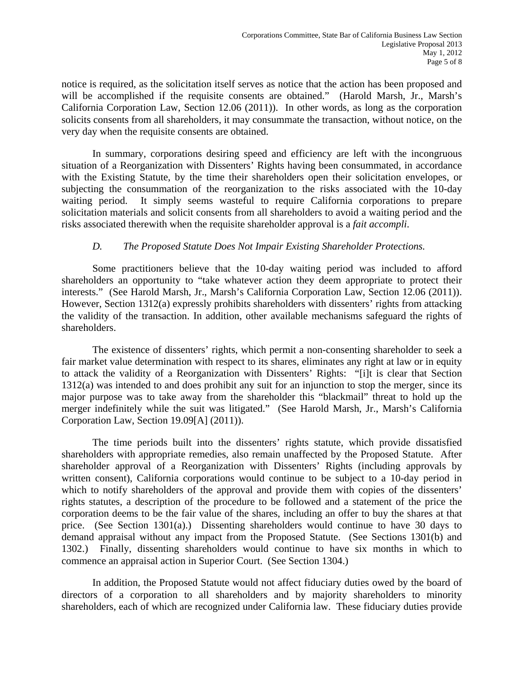notice is required, as the solicitation itself serves as notice that the action has been proposed and will be accomplished if the requisite consents are obtained." (Harold Marsh, Jr., Marsh's California Corporation Law, Section 12.06 (2011)). In other words, as long as the corporation solicits consents from all shareholders, it may consummate the transaction, without notice, on the very day when the requisite consents are obtained.

In summary, corporations desiring speed and efficiency are left with the incongruous situation of a Reorganization with Dissenters' Rights having been consummated, in accordance with the Existing Statute, by the time their shareholders open their solicitation envelopes, or subjecting the consummation of the reorganization to the risks associated with the 10-day waiting period. It simply seems wasteful to require California corporations to prepare solicitation materials and solicit consents from all shareholders to avoid a waiting period and the risks associated therewith when the requisite shareholder approval is a *fait accompli*.

# *D. The Proposed Statute Does Not Impair Existing Shareholder Protections.*

Some practitioners believe that the 10-day waiting period was included to afford shareholders an opportunity to "take whatever action they deem appropriate to protect their interests." (See Harold Marsh, Jr., Marsh's California Corporation Law, Section 12.06 (2011)). However, Section 1312(a) expressly prohibits shareholders with dissenters' rights from attacking the validity of the transaction. In addition, other available mechanisms safeguard the rights of shareholders.

The existence of dissenters' rights, which permit a non-consenting shareholder to seek a fair market value determination with respect to its shares, eliminates any right at law or in equity to attack the validity of a Reorganization with Dissenters' Rights: "[i]t is clear that Section 1312(a) was intended to and does prohibit any suit for an injunction to stop the merger, since its major purpose was to take away from the shareholder this "blackmail" threat to hold up the merger indefinitely while the suit was litigated." (See Harold Marsh, Jr., Marsh's California Corporation Law, Section 19.09[A] (2011)).

The time periods built into the dissenters' rights statute, which provide dissatisfied shareholders with appropriate remedies, also remain unaffected by the Proposed Statute. After shareholder approval of a Reorganization with Dissenters' Rights (including approvals by written consent), California corporations would continue to be subject to a 10-day period in which to notify shareholders of the approval and provide them with copies of the dissenters' rights statutes, a description of the procedure to be followed and a statement of the price the corporation deems to be the fair value of the shares, including an offer to buy the shares at that price. (See Section 1301(a).) Dissenting shareholders would continue to have 30 days to demand appraisal without any impact from the Proposed Statute. (See Sections 1301(b) and 1302.) Finally, dissenting shareholders would continue to have six months in which to commence an appraisal action in Superior Court. (See Section 1304.)

In addition, the Proposed Statute would not affect fiduciary duties owed by the board of directors of a corporation to all shareholders and by majority shareholders to minority shareholders, each of which are recognized under California law. These fiduciary duties provide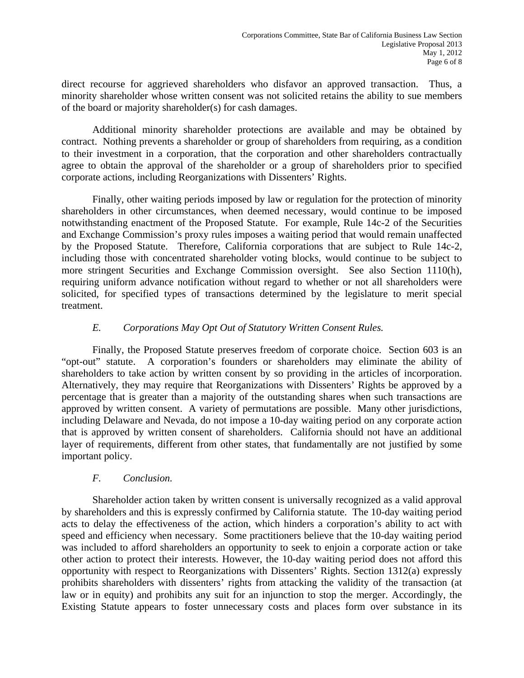direct recourse for aggrieved shareholders who disfavor an approved transaction. Thus, a minority shareholder whose written consent was not solicited retains the ability to sue members of the board or majority shareholder(s) for cash damages.

Additional minority shareholder protections are available and may be obtained by contract. Nothing prevents a shareholder or group of shareholders from requiring, as a condition to their investment in a corporation, that the corporation and other shareholders contractually agree to obtain the approval of the shareholder or a group of shareholders prior to specified corporate actions, including Reorganizations with Dissenters' Rights.

Finally, other waiting periods imposed by law or regulation for the protection of minority shareholders in other circumstances, when deemed necessary, would continue to be imposed notwithstanding enactment of the Proposed Statute. For example, Rule 14c-2 of the Securities and Exchange Commission's proxy rules imposes a waiting period that would remain unaffected by the Proposed Statute. Therefore, California corporations that are subject to Rule 14c-2, including those with concentrated shareholder voting blocks, would continue to be subject to more stringent Securities and Exchange Commission oversight. See also Section 1110(h), requiring uniform advance notification without regard to whether or not all shareholders were solicited, for specified types of transactions determined by the legislature to merit special treatment.

# *E. Corporations May Opt Out of Statutory Written Consent Rules.*

Finally, the Proposed Statute preserves freedom of corporate choice. Section 603 is an "opt-out" statute. A corporation's founders or shareholders may eliminate the ability of shareholders to take action by written consent by so providing in the articles of incorporation. Alternatively, they may require that Reorganizations with Dissenters' Rights be approved by a percentage that is greater than a majority of the outstanding shares when such transactions are approved by written consent. A variety of permutations are possible. Many other jurisdictions, including Delaware and Nevada, do not impose a 10-day waiting period on any corporate action that is approved by written consent of shareholders. California should not have an additional layer of requirements, different from other states, that fundamentally are not justified by some important policy.

# *F. Conclusion.*

Shareholder action taken by written consent is universally recognized as a valid approval by shareholders and this is expressly confirmed by California statute. The 10-day waiting period acts to delay the effectiveness of the action, which hinders a corporation's ability to act with speed and efficiency when necessary. Some practitioners believe that the 10-day waiting period was included to afford shareholders an opportunity to seek to enjoin a corporate action or take other action to protect their interests. However, the 10-day waiting period does not afford this opportunity with respect to Reorganizations with Dissenters' Rights. Section 1312(a) expressly prohibits shareholders with dissenters' rights from attacking the validity of the transaction (at law or in equity) and prohibits any suit for an injunction to stop the merger. Accordingly, the Existing Statute appears to foster unnecessary costs and places form over substance in its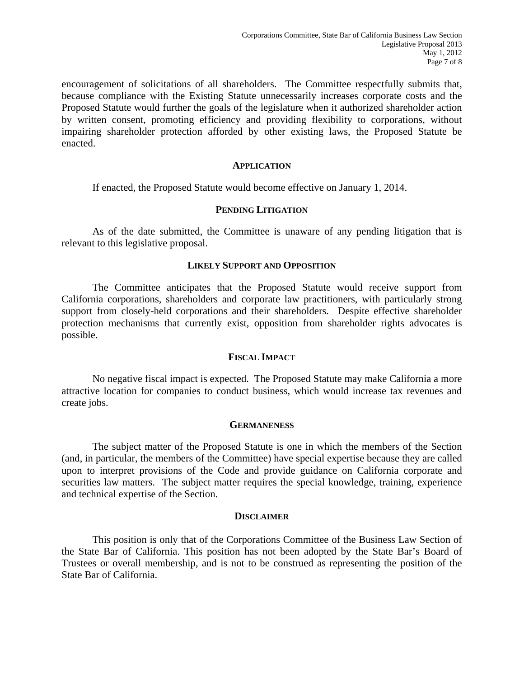encouragement of solicitations of all shareholders. The Committee respectfully submits that, because compliance with the Existing Statute unnecessarily increases corporate costs and the Proposed Statute would further the goals of the legislature when it authorized shareholder action by written consent, promoting efficiency and providing flexibility to corporations, without impairing shareholder protection afforded by other existing laws, the Proposed Statute be enacted.

#### **APPLICATION**

If enacted, the Proposed Statute would become effective on January 1, 2014.

## **PENDING LITIGATION**

As of the date submitted, the Committee is unaware of any pending litigation that is relevant to this legislative proposal.

## **LIKELY SUPPORT AND OPPOSITION**

The Committee anticipates that the Proposed Statute would receive support from California corporations, shareholders and corporate law practitioners, with particularly strong support from closely-held corporations and their shareholders. Despite effective shareholder protection mechanisms that currently exist, opposition from shareholder rights advocates is possible.

#### **FISCAL IMPACT**

No negative fiscal impact is expected. The Proposed Statute may make California a more attractive location for companies to conduct business, which would increase tax revenues and create jobs.

#### **GERMANENESS**

The subject matter of the Proposed Statute is one in which the members of the Section (and, in particular, the members of the Committee) have special expertise because they are called upon to interpret provisions of the Code and provide guidance on California corporate and securities law matters. The subject matter requires the special knowledge, training, experience and technical expertise of the Section.

#### **DISCLAIMER**

This position is only that of the Corporations Committee of the Business Law Section of the State Bar of California. This position has not been adopted by the State Bar's Board of Trustees or overall membership, and is not to be construed as representing the position of the State Bar of California.